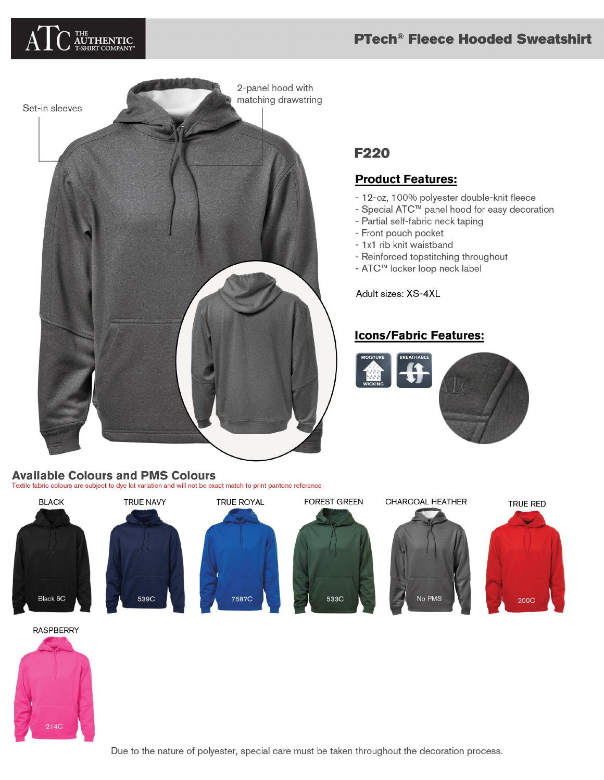## **PTech<sup>®</sup> Fleece Hooded Sweatshirt**





# **F220**

## **Product Features:**

- 12-oz, 100% polyester double-knit fleece
- Special ATC™ panel hood for easy decoration
- Partial self-fabric neck taping
- Front pouch pocket
- 1x1 rib knit waistband
- Reinforced topstitching throughout
- ATC™ locker loop neck label

Adult sizes: XS-4XL

## **Icons/Fabric Features:**



**TRUE RED** 

#### Textile fabric colours are subject to dye lot variation and will not be exact match to print pantone reference **BLACK TRUE NAVY TRUE ROYAL FOREST GREEN** CHARCOAL HEATHER



**RASPBERRY**